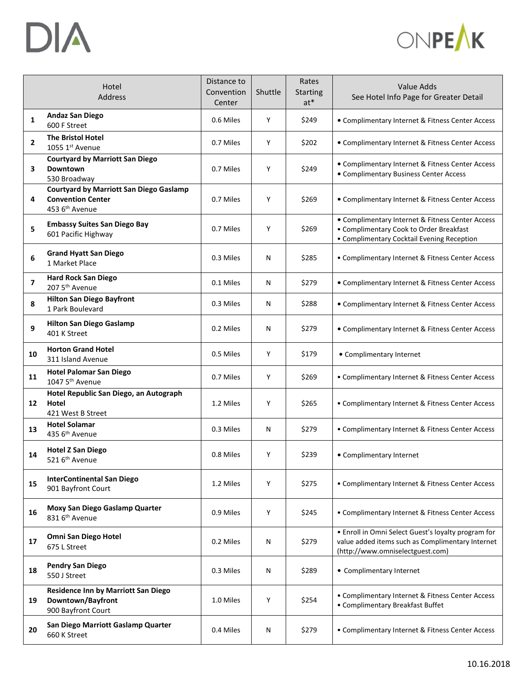



|                | Hotel<br>Address                                                                                         | Distance to<br>Convention<br>Center | Shuttle | Rates<br><b>Starting</b><br>$at*$ | Value Adds<br>See Hotel Info Page for Greater Detail                                                                                        |
|----------------|----------------------------------------------------------------------------------------------------------|-------------------------------------|---------|-----------------------------------|---------------------------------------------------------------------------------------------------------------------------------------------|
| 1              | <b>Andaz San Diego</b><br>600 F Street                                                                   | 0.6 Miles                           | Y       | \$249                             | • Complimentary Internet & Fitness Center Access                                                                                            |
| $\overline{2}$ | <b>The Bristol Hotel</b><br>1055 1st Avenue                                                              | 0.7 Miles                           | Υ       | \$202                             | • Complimentary Internet & Fitness Center Access                                                                                            |
| 3              | <b>Courtyard by Marriott San Diego</b><br>Downtown<br>530 Broadway                                       | 0.7 Miles                           | Υ       | \$249                             | • Complimentary Internet & Fitness Center Access<br>• Complimentary Business Center Access                                                  |
| 4              | <b>Courtyard by Marriott San Diego Gaslamp</b><br><b>Convention Center</b><br>453 6 <sup>th</sup> Avenue | 0.7 Miles                           | Υ       | \$269                             | • Complimentary Internet & Fitness Center Access                                                                                            |
| 5              | <b>Embassy Suites San Diego Bay</b><br>601 Pacific Highway                                               | 0.7 Miles                           | Υ       | \$269                             | • Complimentary Internet & Fitness Center Access<br>• Complimentary Cook to Order Breakfast<br>• Complimentary Cocktail Evening Reception   |
| 6              | <b>Grand Hyatt San Diego</b><br>1 Market Place                                                           | 0.3 Miles                           | N       | \$285                             | • Complimentary Internet & Fitness Center Access                                                                                            |
| $\overline{ }$ | <b>Hard Rock San Diego</b><br>207 5 <sup>th</sup> Avenue                                                 | 0.1 Miles                           | N       | \$279                             | • Complimentary Internet & Fitness Center Access                                                                                            |
| 8              | <b>Hilton San Diego Bayfront</b><br>1 Park Boulevard                                                     | 0.3 Miles                           | N       | \$288                             | • Complimentary Internet & Fitness Center Access                                                                                            |
| 9              | <b>Hilton San Diego Gaslamp</b><br>401 K Street                                                          | 0.2 Miles                           | N       | \$279                             | • Complimentary Internet & Fitness Center Access                                                                                            |
| 10             | <b>Horton Grand Hotel</b><br>311 Island Avenue                                                           | 0.5 Miles                           | Υ       | \$179                             | • Complimentary Internet                                                                                                                    |
| 11             | <b>Hotel Palomar San Diego</b><br>1047 5 <sup>th</sup> Avenue                                            | 0.7 Miles                           | Υ       | \$269                             | • Complimentary Internet & Fitness Center Access                                                                                            |
| 12             | Hotel Republic San Diego, an Autograph<br>Hotel<br>421 West B Street                                     | 1.2 Miles                           | Υ       | \$265                             | • Complimentary Internet & Fitness Center Access                                                                                            |
| 13             | <b>Hotel Solamar</b><br>435 6 <sup>th</sup> Avenue                                                       | 0.3 Miles                           | Ν       | \$279                             | • Complimentary Internet & Fitness Center Access                                                                                            |
| 14             | <b>Hotel Z San Diego</b><br>521 6 <sup>th</sup> Avenue                                                   | 0.8 Miles                           | Y       | \$239                             | • Complimentary Internet                                                                                                                    |
| 15             | <b>InterContinental San Diego</b><br>901 Bayfront Court                                                  | 1.2 Miles                           | Υ       | \$275                             | • Complimentary Internet & Fitness Center Access                                                                                            |
| 16             | Moxy San Diego Gaslamp Quarter<br>831 6 <sup>th</sup> Avenue                                             | 0.9 Miles                           | Υ       | \$245                             | • Complimentary Internet & Fitness Center Access                                                                                            |
| 17             | Omni San Diego Hotel<br>675 L Street                                                                     | 0.2 Miles                           | N       | \$279                             | • Enroll in Omni Select Guest's loyalty program for<br>value added items such as Complimentary Internet<br>(http://www.omniselectguest.com) |
| 18             | <b>Pendry San Diego</b><br>550 J Street                                                                  | 0.3 Miles                           | N       | \$289                             | • Complimentary Internet                                                                                                                    |
| 19             | Residence Inn by Marriott San Diego<br>Downtown/Bayfront<br>900 Bayfront Court                           | 1.0 Miles                           | Υ       | \$254                             | • Complimentary Internet & Fitness Center Access<br>• Complimentary Breakfast Buffet                                                        |
| 20             | San Diego Marriott Gaslamp Quarter<br>660 K Street                                                       | 0.4 Miles                           | N       | \$279                             | • Complimentary Internet & Fitness Center Access                                                                                            |